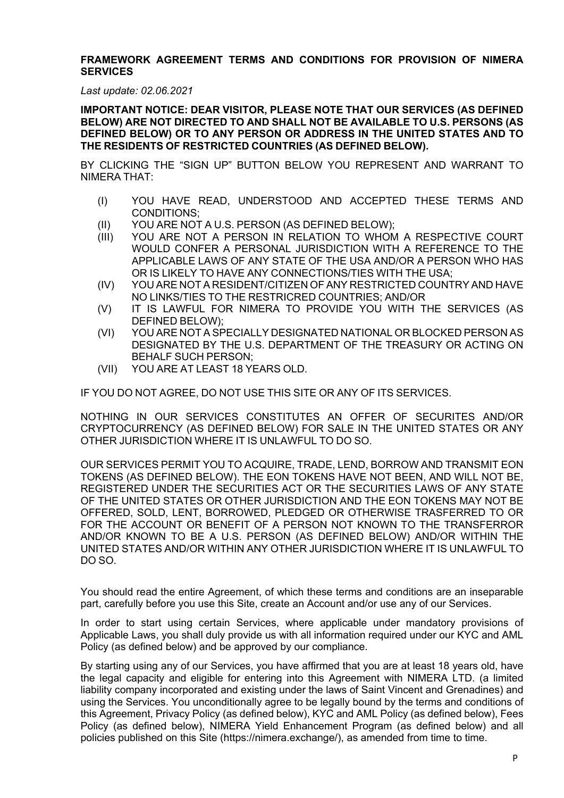#### **FRAMEWORK AGREEMENT TERMS AND CONDITIONS FOR PROVISION OF NIMERA SERVICES**

*Last update: 02.06.2021*

**IMPORTANT NOTICE: DEAR VISITOR, PLEASE NOTE THAT OUR SERVICES (AS DEFINED BELOW) ARE NOT DIRECTED TO AND SHALL NOT BE AVAILABLE TO U.S. PERSONS (AS DEFINED BELOW) OR TO ANY PERSON OR ADDRESS IN THE UNITED STATES AND TO THE RESIDENTS OF RESTRICTED COUNTRIES (AS DEFINED BELOW).**

BY CLICKING THE "SIGN UP" BUTTON BELOW YOU REPRESENT AND WARRANT TO NIMERA THAT:

- (I) YOU HAVE READ, UNDERSTOOD AND ACCEPTED THESE TERMS AND CONDITIONS;
- (II) YOU ARE NOT A U.S. PERSON (AS DEFINED BELOW);
- (III) YOU ARE NOT A PERSON IN RELATION TO WHOM A RESPECTIVE COURT WOULD CONFER A PERSONAL JURISDICTION WITH A REFERENCE TO THE APPLICABLE LAWS OF ANY STATE OF THE USA AND/OR A PERSON WHO HAS OR IS LIKELY TO HAVE ANY CONNECTIONS/TIES WITH THE USA;
- (IV) YOU ARE NOT A RESIDENT/CITIZEN OF ANY RESTRICTED COUNTRY AND HAVE NO LINKS/TIES TO THE RESTRICRED COUNTRIES; AND/OR
- (V) IT IS LAWFUL FOR NIMERA TO PROVIDE YOU WITH THE SERVICES (AS DEFINED BELOW);
- (VI) YOU ARE NOT A SPECIALLY DESIGNATED NATIONAL OR BLOCKED PERSON AS DESIGNATED BY THE U.S. DEPARTMENT OF THE TREASURY OR ACTING ON BEHALF SUCH PERSON;
- (VII) YOU ARE AT LEAST 18 YEARS OLD.

IF YOU DO NOT AGREE, DO NOT USE THIS SITE OR ANY OF ITS SERVICES.

NOTHING IN OUR SERVICES CONSTITUTES AN OFFER OF SECURITES AND/OR CRYPTOCURRENCY (AS DEFINED BELOW) FOR SALE IN THE UNITED STATES OR ANY OTHER JURISDICTION WHERE IT IS UNLAWFUL TO DO SO.

OUR SERVICES PERMIT YOU TO ACQUIRE, TRADE, LEND, BORROW AND TRANSMIT EON TOKENS (AS DEFINED BELOW). THE EON TOKENS HAVE NOT BEEN, AND WILL NOT BE, REGISTERED UNDER THE SECURITIES ACT OR THE SECURITIES LAWS OF ANY STATE OF THE UNITED STATES OR OTHER JURISDICTION AND THE EON TOKENS MAY NOT BE OFFERED, SOLD, LENT, BORROWED, PLEDGED OR OTHERWISE TRASFERRED TO OR FOR THE ACCOUNT OR BENEFIT OF A PERSON NOT KNOWN TO THE TRANSFERROR AND/OR KNOWN TO BE A U.S. PERSON (AS DEFINED BELOW) AND/OR WITHIN THE UNITED STATES AND/OR WITHIN ANY OTHER JURISDICTION WHERE IT IS UNLAWFUL TO DO SO.

You should read the entire Agreement, of which these terms and conditions are an inseparable part, carefully before you use this Site, create an Account and/or use any of our Services.

In order to start using certain Services, where applicable under mandatory provisions of Applicable Laws, you shall duly provide us with all information required under our KYC and AML Policy (as defined below) and be approved by our compliance.

By starting using any of our Services, you have affirmed that you are at least 18 years old, have the legal capacity and eligible for entering into this Agreement with NIMERA LTD. (a limited liability company incorporated and existing under the laws of Saint Vincent and Grenadines) and using the Services. You unconditionally agree to be legally bound by the terms and conditions of this Agreement, Privacy Policy (as defined below), KYC and AML Policy (as defined below), Fees Policy (as defined below), NIMERA Yield Enhancement Program (as defined below) and all policies published on this Site (https://nimera.exchange/), as amended from time to time.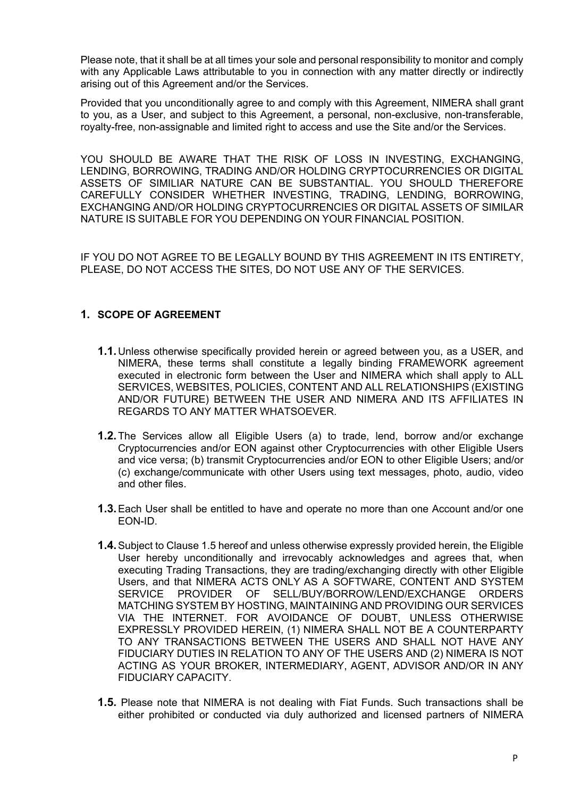Please note, that it shall be at all times your sole and personal responsibility to monitor and comply with any Applicable Laws attributable to you in connection with any matter directly or indirectly arising out of this Agreement and/or the Services.

Provided that you unconditionally agree to and comply with this Agreement, NIMERA shall grant to you, as a User, and subject to this Agreement, a personal, non-exclusive, non-transferable, royalty-free, non-assignable and limited right to access and use the Site and/or the Services.

YOU SHOULD BE AWARE THAT THE RISK OF LOSS IN INVESTING, EXCHANGING, LENDING, BORROWING, TRADING AND/OR HOLDING CRYPTOCURRENCIES OR DIGITAL ASSETS OF SIMILIAR NATURE CAN BE SUBSTANTIAL. YOU SHOULD THEREFORE CAREFULLY CONSIDER WHETHER INVESTING, TRADING, LENDING, BORROWING, EXCHANGING AND/OR HOLDING CRYPTOCURRENCIES OR DIGITAL ASSETS OF SIMILAR NATURE IS SUITABLE FOR YOU DEPENDING ON YOUR FINANCIAL POSITION.

IF YOU DO NOT AGREE TO BE LEGALLY BOUND BY THIS AGREEMENT IN ITS ENTIRETY, PLEASE, DO NOT ACCESS THE SITES, DO NOT USE ANY OF THE SERVICES.

## **1. SCOPE OF AGREEMENT**

- **1.1.**Unless otherwise specifically provided herein or agreed between you, as a USER, and NIMERA, these terms shall constitute a legally binding FRAMEWORK agreement executed in electronic form between the User and NIMERA which shall apply to ALL SERVICES, WEBSITES, POLICIES, CONTENT AND ALL RELATIONSHIPS (EXISTING AND/OR FUTURE) BETWEEN THE USER AND NIMERA AND ITS AFFILIATES IN REGARDS TO ANY MATTER WHATSOEVER.
- **1.2.**The Services allow all Eligible Users (a) to trade, lend, borrow and/or exchange Cryptocurrencies and/or EON against other Cryptocurrencies with other Eligible Users and vice versa; (b) transmit Cryptocurrencies and/or EON to other Eligible Users; and/or (c) exchange/communicate with other Users using text messages, photo, audio, video and other files.
- **1.3.**Each User shall be entitled to have and operate no more than one Account and/or one EON-ID.
- **1.4.**Subject to Clause 1.5 hereof and unless otherwise expressly provided herein, the Eligible User hereby unconditionally and irrevocably acknowledges and agrees that, when executing Trading Transactions, they are trading/exchanging directly with other Eligible Users, and that NIMERA ACTS ONLY AS A SOFTWARE, CONTENT AND SYSTEM SERVICE PROVIDER OF SELL/BUY/BORROW/LEND/EXCHANGE ORDERS MATCHING SYSTEM BY HOSTING, MAINTAINING AND PROVIDING OUR SERVICES VIA THE INTERNET. FOR AVOIDANCE OF DOUBT, UNLESS OTHERWISE EXPRESSLY PROVIDED HEREIN, (1) NIMERA SHALL NOT BE A COUNTERPARTY TO ANY TRANSACTIONS BETWEEN THE USERS AND SHALL NOT HAVE ANY FIDUCIARY DUTIES IN RELATION TO ANY OF THE USERS AND (2) NIMERA IS NOT ACTING AS YOUR BROKER, INTERMEDIARY, AGENT, ADVISOR AND/OR IN ANY FIDUCIARY CAPACITY.
- **1.5.** Please note that NIMERA is not dealing with Fiat Funds. Such transactions shall be either prohibited or conducted via duly authorized and licensed partners of NIMERA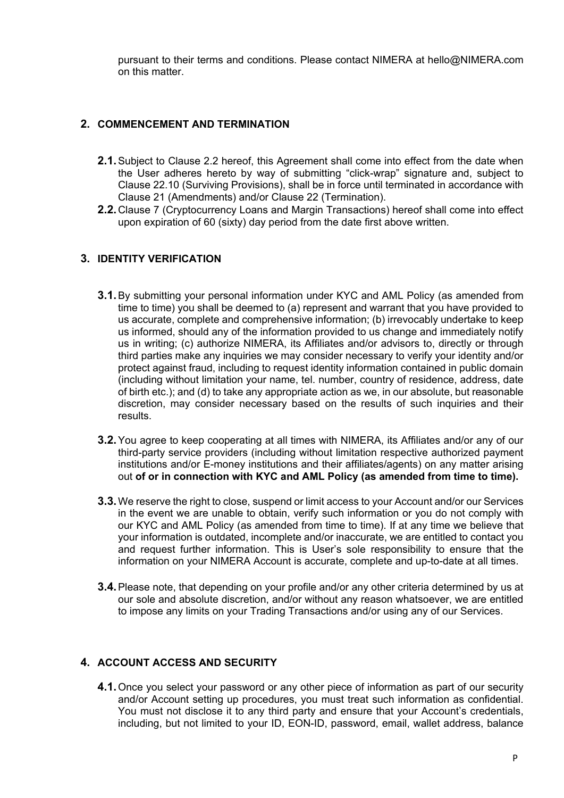pursuant to their terms and conditions. Please contact NIMERA at hello@NIMERA.com on this matter.

# **2. COMMENCEMENT AND TERMINATION**

- **2.1.**Subject to Clause 2.2 hereof, this Agreement shall come into effect from the date when the User adheres hereto by way of submitting "click-wrap" signature and, subject to Clause 22.10 (Surviving Provisions), shall be in force until terminated in accordance with Clause 21 (Amendments) and/or Clause 22 (Termination).
- **2.2.**Clause 7 (Cryptocurrency Loans and Margin Transactions) hereof shall come into effect upon expiration of 60 (sixty) day period from the date first above written.

## **3. IDENTITY VERIFICATION**

- **3.1.**By submitting your personal information under KYC and AML Policy (as amended from time to time) you shall be deemed to (a) represent and warrant that you have provided to us accurate, complete and comprehensive information; (b) irrevocably undertake to keep us informed, should any of the information provided to us change and immediately notify us in writing; (c) authorize NIMERA, its Affiliates and/or advisors to, directly or through third parties make any inquiries we may consider necessary to verify your identity and/or protect against fraud, including to request identity information contained in public domain (including without limitation your name, tel. number, country of residence, address, date of birth etc.); and (d) to take any appropriate action as we, in our absolute, but reasonable discretion, may consider necessary based on the results of such inquiries and their results.
- **3.2.**You agree to keep cooperating at all times with NIMERA, its Affiliates and/or any of our third-party service providers (including without limitation respective authorized payment institutions and/or E-money institutions and their affiliates/agents) on any matter arising out **of or in connection with KYC and AML Policy (as amended from time to time).**
- **3.3.**We reserve the right to close, suspend or limit access to your Account and/or our Services in the event we are unable to obtain, verify such information or you do not comply with our KYC and AML Policy (as amended from time to time). If at any time we believe that your information is outdated, incomplete and/or inaccurate, we are entitled to contact you and request further information. This is User's sole responsibility to ensure that the information on your NIMERA Account is accurate, complete and up-to-date at all times.
- **3.4.**Please note, that depending on your profile and/or any other criteria determined by us at our sole and absolute discretion, and/or without any reason whatsoever, we are entitled to impose any limits on your Trading Transactions and/or using any of our Services.

## **4. ACCOUNT ACCESS AND SECURITY**

**4.1.**Once you select your password or any other piece of information as part of our security and/or Account setting up procedures, you must treat such information as confidential. You must not disclose it to any third party and ensure that your Account's credentials, including, but not limited to your ID, EON-ID, password, email, wallet address, balance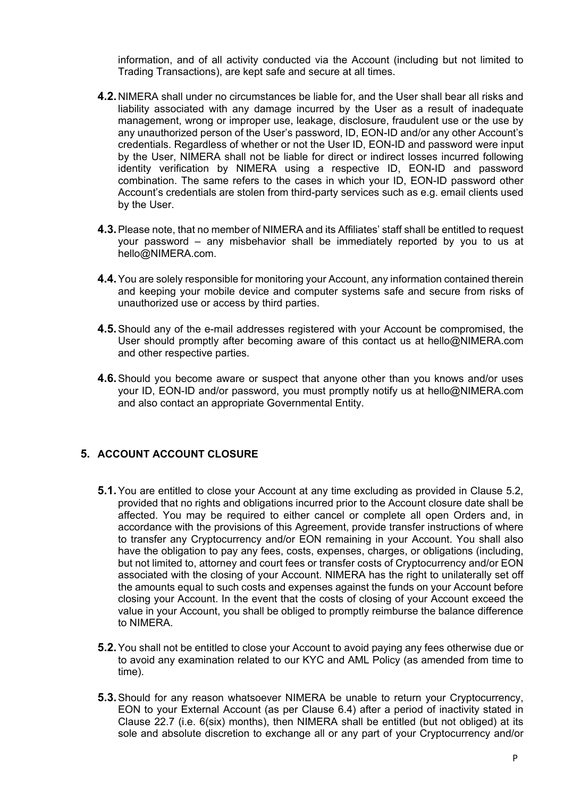information, and of all activity conducted via the Account (including but not limited to Trading Transactions), are kept safe and secure at all times.

- **4.2.**NIMERA shall under no circumstances be liable for, and the User shall bear all risks and liability associated with any damage incurred by the User as a result of inadequate management, wrong or improper use, leakage, disclosure, fraudulent use or the use by any unauthorized person of the User's password, ID, EON-ID and/or any other Account's credentials. Regardless of whether or not the User ID, EON-ID and password were input by the User, NIMERA shall not be liable for direct or indirect losses incurred following identity verification by NIMERA using a respective ID, EON-ID and password combination. The same refers to the cases in which your ID, EON-ID password other Account's credentials are stolen from third-party services such as e.g. email clients used by the User.
- **4.3.**Please note, that no member of NIMERA and its Affiliates' staff shall be entitled to request your password – any misbehavior shall be immediately reported by you to us at hello@NIMERA.com.
- **4.4.**You are solely responsible for monitoring your Account, any information contained therein and keeping your mobile device and computer systems safe and secure from risks of unauthorized use or access by third parties.
- **4.5.**Should any of the e-mail addresses registered with your Account be compromised, the User should promptly after becoming aware of this contact us at hello@NIMERA.com and other respective parties.
- **4.6.**Should you become aware or suspect that anyone other than you knows and/or uses your ID, EON-ID and/or password, you must promptly notify us at hello@NIMERA.com and also contact an appropriate Governmental Entity.

## **5. ACCOUNT ACCOUNT CLOSURE**

- **5.1.** You are entitled to close your Account at any time excluding as provided in Clause 5.2, provided that no rights and obligations incurred prior to the Account closure date shall be affected. You may be required to either cancel or complete all open Orders and, in accordance with the provisions of this Agreement, provide transfer instructions of where to transfer any Cryptocurrency and/or EON remaining in your Account. You shall also have the obligation to pay any fees, costs, expenses, charges, or obligations (including, but not limited to, attorney and court fees or transfer costs of Cryptocurrency and/or EON associated with the closing of your Account. NIMERA has the right to unilaterally set off the amounts equal to such costs and expenses against the funds on your Account before closing your Account. In the event that the costs of closing of your Account exceed the value in your Account, you shall be obliged to promptly reimburse the balance difference to NIMERA.
- **5.2.**You shall not be entitled to close your Account to avoid paying any fees otherwise due or to avoid any examination related to our KYC and AML Policy (as amended from time to time).
- **5.3.**Should for any reason whatsoever NIMERA be unable to return your Cryptocurrency, EON to your External Account (as per Clause 6.4) after a period of inactivity stated in Clause 22.7 (i.e. 6(six) months), then NIMERA shall be entitled (but not obliged) at its sole and absolute discretion to exchange all or any part of your Cryptocurrency and/or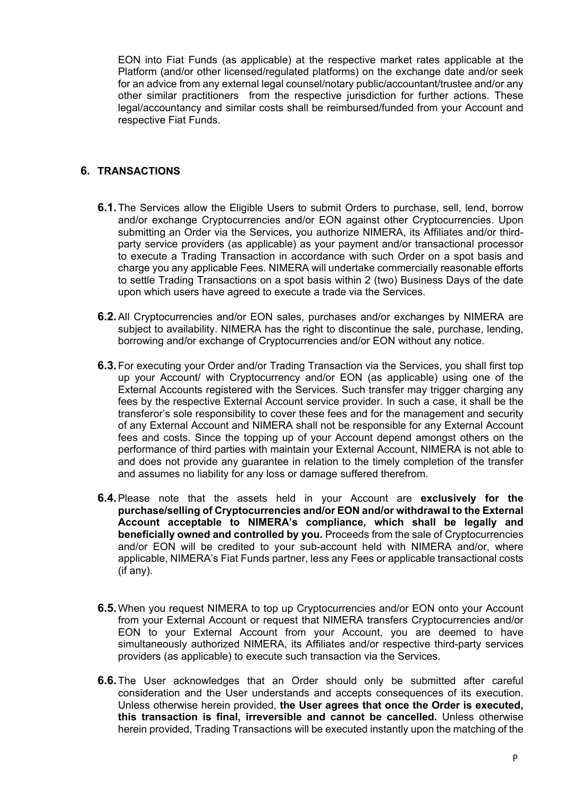EON into Fiat Funds (as applicable) at the respective market rates applicable at the Platform (and/or other licensed/regulated platforms) on the exchange date and/or seek for an advice from any external legal counsel/notary public/accountant/trustee and/or any other similar practitioners from the respective jurisdiction for further actions. These legal/accountancy and similar costs shall be reimbursed/funded from your Account and respective Fiat Funds.

### **6. TRANSACTIONS**

- **6.1.** The Services allow the Eligible Users to submit Orders to purchase, sell, lend, borrow and/or exchange Cryptocurrencies and/or EON against other Cryptocurrencies. Upon submitting an Order via the Services, you authorize NIMERA, its Affiliates and/or thirdparty service providers (as applicable) as your payment and/or transactional processor to execute a Trading Transaction in accordance with such Order on a spot basis and charge you any applicable Fees. NIMERA will undertake commercially reasonable efforts to settle Trading Transactions on a spot basis within 2 (two) Business Days of the date upon which users have agreed to execute a trade via the Services.
- **6.2.**All Cryptocurrencies and/or EON sales, purchases and/or exchanges by NIMERA are subject to availability. NIMERA has the right to discontinue the sale, purchase, lending, borrowing and/or exchange of Cryptocurrencies and/or EON without any notice.
- **6.3.**For executing your Order and/or Trading Transaction via the Services, you shall first top up your Account/ with Cryptocurrency and/or EON (as applicable) using one of the External Accounts registered with the Services. Such transfer may trigger charging any fees by the respective External Account service provider. In such a case, it shall be the transferor's sole responsibility to cover these fees and for the management and security of any External Account and NIMERA shall not be responsible for any External Account fees and costs. Since the topping up of your Account depend amongst others on the performance of third parties with maintain your External Account, NIMERA is not able to and does not provide any guarantee in relation to the timely completion of the transfer and assumes no liability for any loss or damage suffered therefrom.
- **6.4.**Please note that the assets held in your Account are **exclusively for the purchase/selling of Cryptocurrencies and/or EON and/or withdrawal to the External Account acceptable to NIMERA's compliance, which shall be legally and beneficially owned and controlled by you.** Proceeds from the sale of Cryptocurrencies and/or EON will be credited to your sub-account held with NIMERA and/or, where applicable, NIMERA's Fiat Funds partner, less any Fees or applicable transactional costs (if any).
- **6.5.**When you request NIMERA to top up Cryptocurrencies and/or EON onto your Account from your External Account or request that NIMERA transfers Cryptocurrencies and/or EON to your External Account from your Account, you are deemed to have simultaneously authorized NIMERA, its Affiliates and/or respective third-party services providers (as applicable) to execute such transaction via the Services.
- **6.6.**The User acknowledges that an Order should only be submitted after careful consideration and the User understands and accepts consequences of its execution. Unless otherwise herein provided, **the User agrees that once the Order is executed, this transaction is final, irreversible and cannot be cancelled.** Unless otherwise herein provided, Trading Transactions will be executed instantly upon the matching of the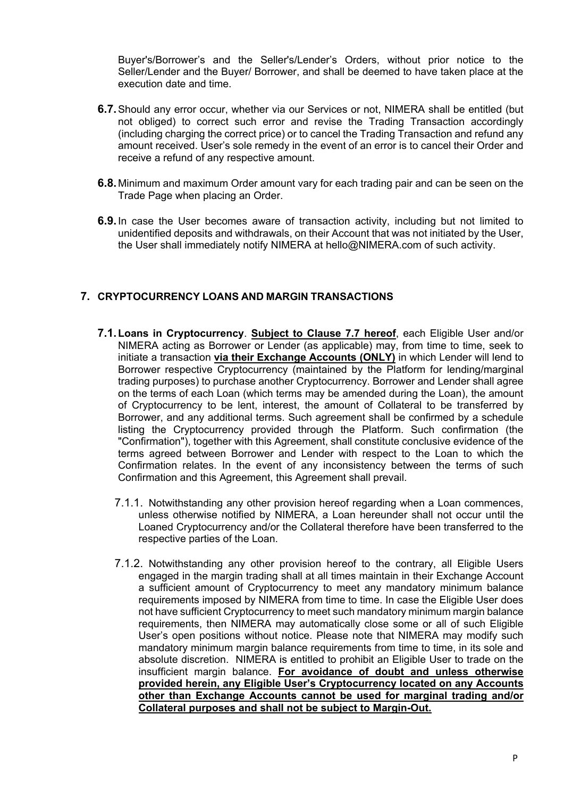Buyer's/Borrower's and the Seller's/Lender's Orders, without prior notice to the Seller/Lender and the Buyer/ Borrower, and shall be deemed to have taken place at the execution date and time.

- **6.7.**Should any error occur, whether via our Services or not, NIMERA shall be entitled (but not obliged) to correct such error and revise the Trading Transaction accordingly (including charging the correct price) or to cancel the Trading Transaction and refund any amount received. User's sole remedy in the event of an error is to cancel their Order and receive a refund of any respective amount.
- **6.8.** Minimum and maximum Order amount vary for each trading pair and can be seen on the Trade Page when placing an Order.
- **6.9.**In case the User becomes aware of transaction activity, including but not limited to unidentified deposits and withdrawals, on their Account that was not initiated by the User, the User shall immediately notify NIMERA at hello@NIMERA.com of such activity.

## **7. CRYPTOCURRENCY LOANS AND MARGIN TRANSACTIONS**

- **7.1.Loans in Cryptocurrency**. **Subject to Clause 7.7 hereof**, each Eligible User and/or NIMERA acting as Borrower or Lender (as applicable) may, from time to time, seek to initiate a transaction **via their Exchange Accounts (ONLY)** in which Lender will lend to Borrower respective Cryptocurrency (maintained by the Platform for lending/marginal trading purposes) to purchase another Cryptocurrency. Borrower and Lender shall agree on the terms of each Loan (which terms may be amended during the Loan), the amount of Cryptocurrency to be lent, interest, the amount of Collateral to be transferred by Borrower, and any additional terms. Such agreement shall be confirmed by a schedule listing the Cryptocurrency provided through the Platform. Such confirmation (the "Confirmation"), together with this Agreement, shall constitute conclusive evidence of the terms agreed between Borrower and Lender with respect to the Loan to which the Confirmation relates. In the event of any inconsistency between the terms of such Confirmation and this Agreement, this Agreement shall prevail.
	- 7.1.1. Notwithstanding any other provision hereof regarding when a Loan commences, unless otherwise notified by NIMERA, a Loan hereunder shall not occur until the Loaned Cryptocurrency and/or the Collateral therefore have been transferred to the respective parties of the Loan.
	- 7.1.2. Notwithstanding any other provision hereof to the contrary, all Eligible Users engaged in the margin trading shall at all times maintain in their Exchange Account a sufficient amount of Cryptocurrency to meet any mandatory minimum balance requirements imposed by NIMERA from time to time. In case the Eligible User does not have sufficient Cryptocurrency to meet such mandatory minimum margin balance requirements, then NIMERA may automatically close some or all of such Eligible User's open positions without notice. Please note that NIMERA may modify such mandatory minimum margin balance requirements from time to time, in its sole and absolute discretion. NIMERA is entitled to prohibit an Eligible User to trade on the insufficient margin balance. **For avoidance of doubt and unless otherwise provided herein, any Eligible User's Cryptocurrency located on any Accounts other than Exchange Accounts cannot be used for marginal trading and/or Collateral purposes and shall not be subject to Margin-Out.**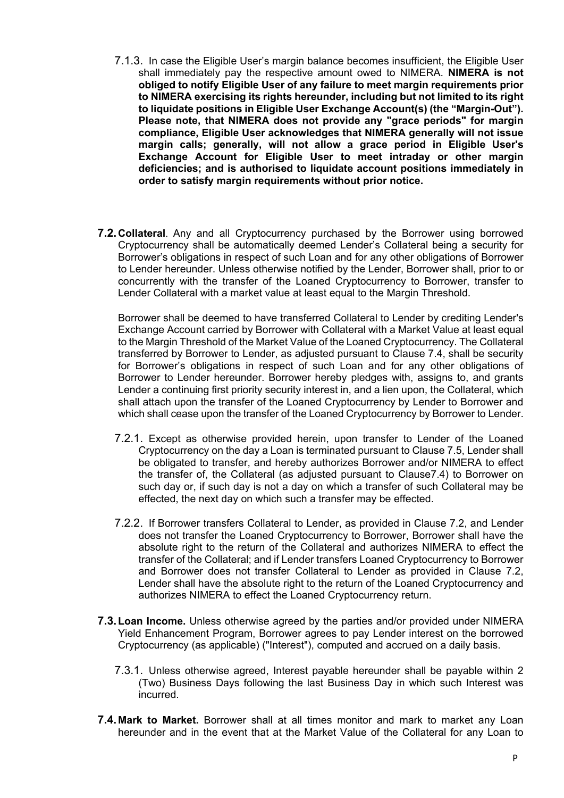- 7.1.3. In case the Eligible User's margin balance becomes insufficient, the Eligible User shall immediately pay the respective amount owed to NIMERA. **NIMERA is not obliged to notify Eligible User of any failure to meet margin requirements prior to NIMERA exercising its rights hereunder, including but not limited to its right to liquidate positions in Eligible User Exchange Account(s) (the "Margin-Out"). Please note, that NIMERA does not provide any "grace periods" for margin compliance, Eligible User acknowledges that NIMERA generally will not issue margin calls; generally, will not allow a grace period in Eligible User's Exchange Account for Eligible User to meet intraday or other margin deficiencies; and is authorised to liquidate account positions immediately in order to satisfy margin requirements without prior notice.**
- **7.2.Collateral**. Any and all Cryptocurrency purchased by the Borrower using borrowed Cryptocurrency shall be automatically deemed Lender's Collateral being a security for Borrower's obligations in respect of such Loan and for any other obligations of Borrower to Lender hereunder. Unless otherwise notified by the Lender, Borrower shall, prior to or concurrently with the transfer of the Loaned Cryptocurrency to Borrower, transfer to Lender Collateral with a market value at least equal to the Margin Threshold.

Borrower shall be deemed to have transferred Collateral to Lender by crediting Lender's Exchange Account carried by Borrower with Collateral with a Market Value at least equal to the Margin Threshold of the Market Value of the Loaned Cryptocurrency. The Collateral transferred by Borrower to Lender, as adjusted pursuant to Clause 7.4, shall be security for Borrower's obligations in respect of such Loan and for any other obligations of Borrower to Lender hereunder. Borrower hereby pledges with, assigns to, and grants Lender a continuing first priority security interest in, and a lien upon, the Collateral, which shall attach upon the transfer of the Loaned Cryptocurrency by Lender to Borrower and which shall cease upon the transfer of the Loaned Cryptocurrency by Borrower to Lender.

- 7.2.1. Except as otherwise provided herein, upon transfer to Lender of the Loaned Cryptocurrency on the day a Loan is terminated pursuant to Clause 7.5, Lender shall be obligated to transfer, and hereby authorizes Borrower and/or NIMERA to effect the transfer of, the Collateral (as adjusted pursuant to Clause7.4) to Borrower on such day or, if such day is not a day on which a transfer of such Collateral may be effected, the next day on which such a transfer may be effected.
- 7.2.2. If Borrower transfers Collateral to Lender, as provided in Clause 7.2, and Lender does not transfer the Loaned Cryptocurrency to Borrower, Borrower shall have the absolute right to the return of the Collateral and authorizes NIMERA to effect the transfer of the Collateral; and if Lender transfers Loaned Cryptocurrency to Borrower and Borrower does not transfer Collateral to Lender as provided in Clause 7.2, Lender shall have the absolute right to the return of the Loaned Cryptocurrency and authorizes NIMERA to effect the Loaned Cryptocurrency return.
- **7.3.Loan Income.** Unless otherwise agreed by the parties and/or provided under NIMERA Yield Enhancement Program, Borrower agrees to pay Lender interest on the borrowed Cryptocurrency (as applicable) ("Interest"), computed and accrued on a daily basis.
	- 7.3.1. Unless otherwise agreed, Interest payable hereunder shall be payable within 2 (Two) Business Days following the last Business Day in which such Interest was incurred.
- **7.4. Mark to Market.** Borrower shall at all times monitor and mark to market any Loan hereunder and in the event that at the Market Value of the Collateral for any Loan to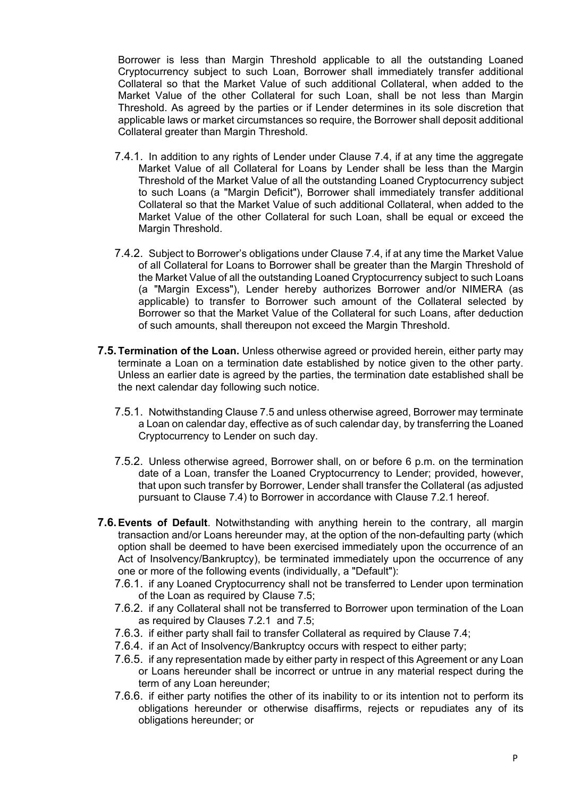Borrower is less than Margin Threshold applicable to all the outstanding Loaned Cryptocurrency subject to such Loan, Borrower shall immediately transfer additional Collateral so that the Market Value of such additional Collateral, when added to the Market Value of the other Collateral for such Loan, shall be not less than Margin Threshold. As agreed by the parties or if Lender determines in its sole discretion that applicable laws or market circumstances so require, the Borrower shall deposit additional Collateral greater than Margin Threshold.

- 7.4.1. In addition to any rights of Lender under Clause 7.4, if at any time the aggregate Market Value of all Collateral for Loans by Lender shall be less than the Margin Threshold of the Market Value of all the outstanding Loaned Cryptocurrency subject to such Loans (a "Margin Deficit"), Borrower shall immediately transfer additional Collateral so that the Market Value of such additional Collateral, when added to the Market Value of the other Collateral for such Loan, shall be equal or exceed the Margin Threshold.
- 7.4.2. Subject to Borrower's obligations under Clause 7.4, if at any time the Market Value of all Collateral for Loans to Borrower shall be greater than the Margin Threshold of the Market Value of all the outstanding Loaned Cryptocurrency subject to such Loans (a "Margin Excess"), Lender hereby authorizes Borrower and/or NIMERA (as applicable) to transfer to Borrower such amount of the Collateral selected by Borrower so that the Market Value of the Collateral for such Loans, after deduction of such amounts, shall thereupon not exceed the Margin Threshold.
- **7.5.Termination of the Loan.** Unless otherwise agreed or provided herein, either party may terminate a Loan on a termination date established by notice given to the other party. Unless an earlier date is agreed by the parties, the termination date established shall be the next calendar day following such notice.
	- 7.5.1. Notwithstanding Clause 7.5 and unless otherwise agreed, Borrower may terminate a Loan on calendar day, effective as of such calendar day, by transferring the Loaned Cryptocurrency to Lender on such day.
	- 7.5.2. Unless otherwise agreed, Borrower shall, on or before 6 p.m. on the termination date of a Loan, transfer the Loaned Cryptocurrency to Lender; provided, however, that upon such transfer by Borrower, Lender shall transfer the Collateral (as adjusted pursuant to Clause 7.4) to Borrower in accordance with Clause 7.2.1 hereof.
- **7.6.Events of Default**. Notwithstanding with anything herein to the contrary, all margin transaction and/or Loans hereunder may, at the option of the non-defaulting party (which option shall be deemed to have been exercised immediately upon the occurrence of an Act of Insolvency/Bankruptcy), be terminated immediately upon the occurrence of any one or more of the following events (individually, a "Default"):
	- 7.6.1. if any Loaned Cryptocurrency shall not be transferred to Lender upon termination of the Loan as required by Clause 7.5;
	- 7.6.2. if any Collateral shall not be transferred to Borrower upon termination of the Loan as required by Clauses 7.2.1 and 7.5;
	- 7.6.3. if either party shall fail to transfer Collateral as required by Clause 7.4;
	- 7.6.4. if an Act of Insolvency/Bankruptcy occurs with respect to either party;
	- 7.6.5. if any representation made by either party in respect of this Agreement or any Loan or Loans hereunder shall be incorrect or untrue in any material respect during the term of any Loan hereunder;
	- 7.6.6. if either party notifies the other of its inability to or its intention not to perform its obligations hereunder or otherwise disaffirms, rejects or repudiates any of its obligations hereunder; or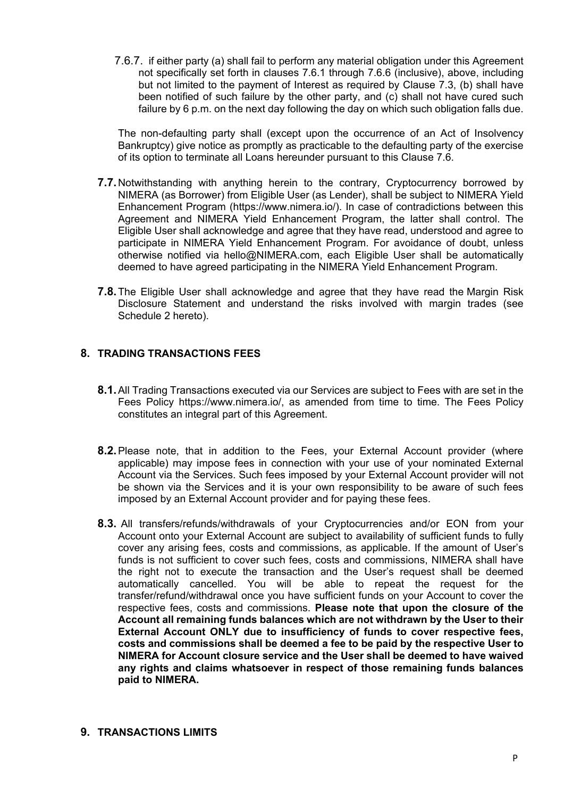7.6.7. if either party (a) shall fail to perform any material obligation under this Agreement not specifically set forth in clauses 7.6.1 through 7.6.6 (inclusive), above, including but not limited to the payment of Interest as required by Clause 7.3, (b) shall have been notified of such failure by the other party, and (c) shall not have cured such failure by 6 p.m. on the next day following the day on which such obligation falls due.

The non-defaulting party shall (except upon the occurrence of an Act of Insolvency Bankruptcy) give notice as promptly as practicable to the defaulting party of the exercise of its option to terminate all Loans hereunder pursuant to this Clause 7.6.

- **7.7.**Notwithstanding with anything herein to the contrary, Cryptocurrency borrowed by NIMERA (as Borrower) from Eligible User (as Lender), shall be subject to NIMERA Yield Enhancement Program (https://www.nimera.io/). In case of contradictions between this Agreement and NIMERA Yield Enhancement Program, the latter shall control. The Eligible User shall acknowledge and agree that they have read, understood and agree to participate in NIMERA Yield Enhancement Program. For avoidance of doubt, unless otherwise notified via hello@NIMERA.com, each Eligible User shall be automatically deemed to have agreed participating in the NIMERA Yield Enhancement Program.
- **7.8.**The Eligible User shall acknowledge and agree that they have read the Margin Risk Disclosure Statement and understand the risks involved with margin trades (see Schedule 2 hereto).

### **8. TRADING TRANSACTIONS FEES**

- **8.1.**All Trading Transactions executed via our Services are subject to Fees with are set in the Fees Policy https://www.nimera.io/, as amended from time to time. The Fees Policy constitutes an integral part of this Agreement.
- **8.2.**Please note, that in addition to the Fees, your External Account provider (where applicable) may impose fees in connection with your use of your nominated External Account via the Services. Such fees imposed by your External Account provider will not be shown via the Services and it is your own responsibility to be aware of such fees imposed by an External Account provider and for paying these fees.
- **8.3.** All transfers/refunds/withdrawals of your Cryptocurrencies and/or EON from your Account onto your External Account are subject to availability of sufficient funds to fully cover any arising fees, costs and commissions, as applicable. If the amount of User's funds is not sufficient to cover such fees, costs and commissions, NIMERA shall have the right not to execute the transaction and the User's request shall be deemed automatically cancelled. You will be able to repeat the request for the transfer/refund/withdrawal once you have sufficient funds on your Account to cover the respective fees, costs and commissions. **Please note that upon the closure of the Account all remaining funds balances which are not withdrawn by the User to their External Account ONLY due to insufficiency of funds to cover respective fees, costs and commissions shall be deemed a fee to be paid by the respective User to NIMERA for Account closure service and the User shall be deemed to have waived any rights and claims whatsoever in respect of those remaining funds balances paid to NIMERA.**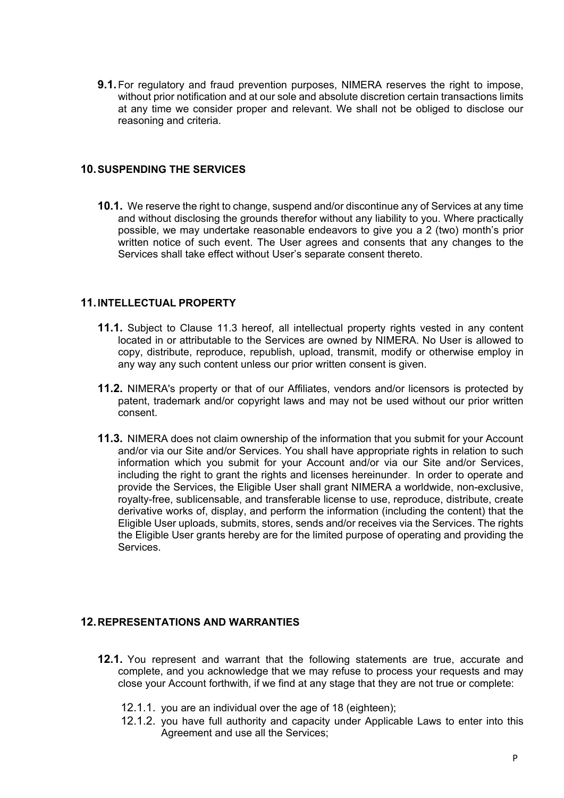**9.1.** For regulatory and fraud prevention purposes, NIMERA reserves the right to impose, without prior notification and at our sole and absolute discretion certain transactions limits at any time we consider proper and relevant. We shall not be obliged to disclose our reasoning and criteria.

#### **10.SUSPENDING THE SERVICES**

**10.1.** We reserve the right to change, suspend and/or discontinue any of Services at any time and without disclosing the grounds therefor without any liability to you. Where practically possible, we may undertake reasonable endeavors to give you a 2 (two) month's prior written notice of such event. The User agrees and consents that any changes to the Services shall take effect without User's separate consent thereto.

#### **11.INTELLECTUAL PROPERTY**

- **11.1.** Subject to Clause 11.3 hereof, all intellectual property rights vested in any content located in or attributable to the Services are owned by NIMERA. No User is allowed to copy, distribute, reproduce, republish, upload, transmit, modify or otherwise employ in any way any such content unless our prior written consent is given.
- **11.2.** NIMERA's property or that of our Affiliates, vendors and/or licensors is protected by patent, trademark and/or copyright laws and may not be used without our prior written consent.
- **11.3.** NIMERA does not claim ownership of the information that you submit for your Account and/or via our Site and/or Services. You shall have appropriate rights in relation to such information which you submit for your Account and/or via our Site and/or Services, including the right to grant the rights and licenses hereinunder. In order to operate and provide the Services, the Eligible User shall grant NIMERA a worldwide, non-exclusive, royalty-free, sublicensable, and transferable license to use, reproduce, distribute, create derivative works of, display, and perform the information (including the content) that the Eligible User uploads, submits, stores, sends and/or receives via the Services. The rights the Eligible User grants hereby are for the limited purpose of operating and providing the **Services**

## **12.REPRESENTATIONS AND WARRANTIES**

- **12.1.** You represent and warrant that the following statements are true, accurate and complete, and you acknowledge that we may refuse to process your requests and may close your Account forthwith, if we find at any stage that they are not true or complete:
	- 12.1.1. you are an individual over the age of 18 (eighteen);
	- 12.1.2. you have full authority and capacity under Applicable Laws to enter into this Agreement and use all the Services;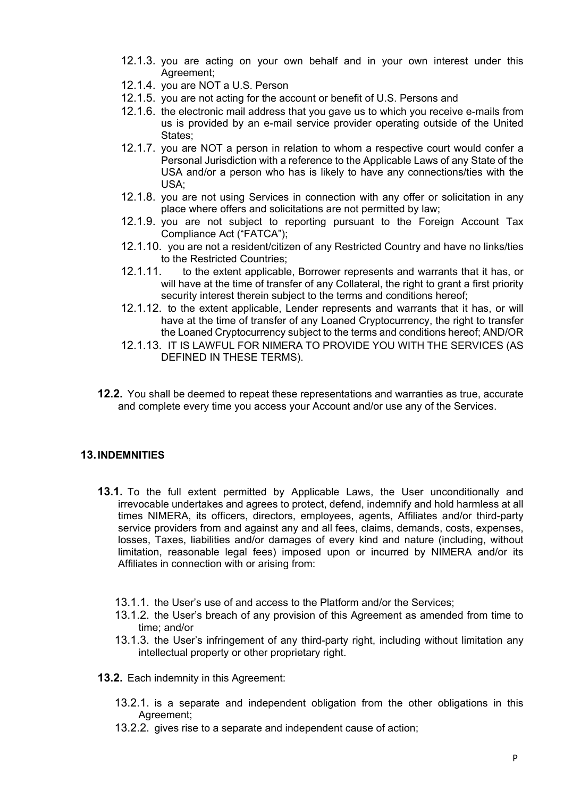- 12.1.3. you are acting on your own behalf and in your own interest under this Agreement;
- 12.1.4. you are NOT a U.S. Person
- 12.1.5. you are not acting for the account or benefit of U.S. Persons and
- 12.1.6. the electronic mail address that you gave us to which you receive e-mails from us is provided by an e-mail service provider operating outside of the United States;
- 12.1.7. you are NOT a person in relation to whom a respective court would confer a Personal Jurisdiction with a reference to the Applicable Laws of any State of the USA and/or a person who has is likely to have any connections/ties with the USA;
- 12.1.8. you are not using Services in connection with any offer or solicitation in any place where offers and solicitations are not permitted by law;
- 12.1.9. you are not subject to reporting pursuant to the Foreign Account Tax Compliance Act ("FATCA");
- 12.1.10. you are not a resident/citizen of any Restricted Country and have no links/ties to the Restricted Countries;
- 12.1.11. to the extent applicable, Borrower represents and warrants that it has, or will have at the time of transfer of any Collateral, the right to grant a first priority security interest therein subject to the terms and conditions hereof;
- 12.1.12. to the extent applicable, Lender represents and warrants that it has, or will have at the time of transfer of any Loaned Cryptocurrency, the right to transfer the Loaned Cryptocurrency subject to the terms and conditions hereof; AND/OR
- 12.1.13. IT IS LAWFUL FOR NIMERA TO PROVIDE YOU WITH THE SERVICES (AS DEFINED IN THESE TERMS).
- **12.2.** You shall be deemed to repeat these representations and warranties as true, accurate and complete every time you access your Account and/or use any of the Services.

## **13.INDEMNITIES**

- **13.1.** To the full extent permitted by Applicable Laws, the User unconditionally and irrevocable undertakes and agrees to protect, defend, indemnify and hold harmless at all times NIMERA, its officers, directors, employees, agents, Affiliates and/or third-party service providers from and against any and all fees, claims, demands, costs, expenses, losses, Taxes, liabilities and/or damages of every kind and nature (including, without limitation, reasonable legal fees) imposed upon or incurred by NIMERA and/or its Affiliates in connection with or arising from:
	- 13.1.1. the User's use of and access to the Platform and/or the Services;
	- 13.1.2. the User's breach of any provision of this Agreement as amended from time to time; and/or
	- 13.1.3. the User's infringement of any third-party right, including without limitation any intellectual property or other proprietary right.
- **13.2.** Each indemnity in this Agreement:
	- 13.2.1. is a separate and independent obligation from the other obligations in this Agreement;
	- 13.2.2. gives rise to a separate and independent cause of action;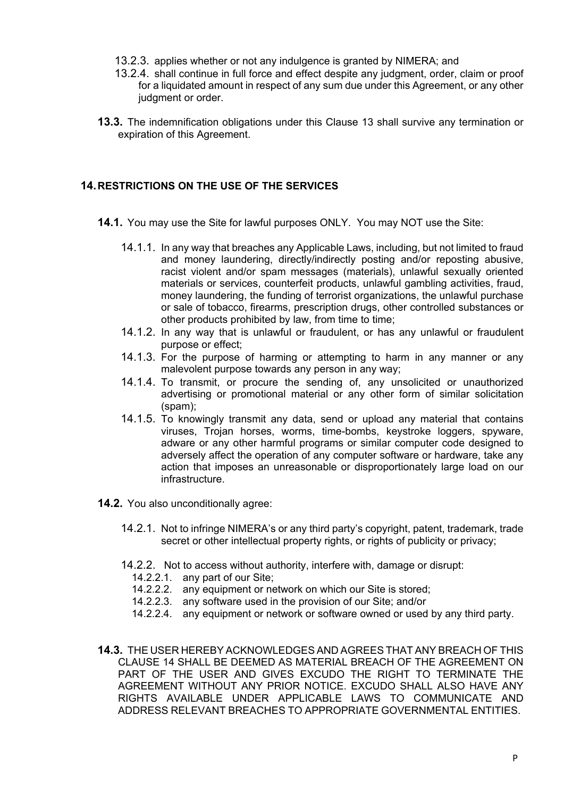- 13.2.3. applies whether or not any indulgence is granted by NIMERA; and
- 13.2.4. shall continue in full force and effect despite any judgment, order, claim or proof for a liquidated amount in respect of any sum due under this Agreement, or any other judgment or order.
- **13.3.** The indemnification obligations under this Clause 13 shall survive any termination or expiration of this Agreement.

# **14.RESTRICTIONS ON THE USE OF THE SERVICES**

- **14.1.** You may use the Site for lawful purposes ONLY. You may NOT use the Site:
	- 14.1.1. In any way that breaches any Applicable Laws, including, but not limited to fraud and money laundering, directly/indirectly posting and/or reposting abusive, racist violent and/or spam messages (materials), unlawful sexually oriented materials or services, counterfeit products, unlawful gambling activities, fraud, money laundering, the funding of terrorist organizations, the unlawful purchase or sale of tobacco, firearms, prescription drugs, other controlled substances or other products prohibited by law, from time to time;
	- 14.1.2. In any way that is unlawful or fraudulent, or has any unlawful or fraudulent purpose or effect;
	- 14.1.3. For the purpose of harming or attempting to harm in any manner or any malevolent purpose towards any person in any way;
	- 14.1.4. To transmit, or procure the sending of, any unsolicited or unauthorized advertising or promotional material or any other form of similar solicitation (spam);
	- 14.1.5. To knowingly transmit any data, send or upload any material that contains viruses, Trojan horses, worms, time-bombs, keystroke loggers, spyware, adware or any other harmful programs or similar computer code designed to adversely affect the operation of any computer software or hardware, take any action that imposes an unreasonable or disproportionately large load on our infrastructure.
- **14.2.** You also unconditionally agree:
	- 14.2.1. Not to infringe NIMERA's or any third party's copyright, patent, trademark, trade secret or other intellectual property rights, or rights of publicity or privacy;
	- 14.2.2. Not to access without authority, interfere with, damage or disrupt:
		- 14.2.2.1. any part of our Site;
		- 14.2.2.2. any equipment or network on which our Site is stored;
		- 14.2.2.3. any software used in the provision of our Site; and/or
		- 14.2.2.4. any equipment or network or software owned or used by any third party.
- **14.3.** THE USER HEREBY ACKNOWLEDGES AND AGREES THAT ANY BREACH OF THIS CLAUSE 14 SHALL BE DEEMED AS MATERIAL BREACH OF THE AGREEMENT ON PART OF THE USER AND GIVES EXCUDO THE RIGHT TO TERMINATE THE AGREEMENT WITHOUT ANY PRIOR NOTICE. EXCUDO SHALL ALSO HAVE ANY RIGHTS AVAILABLE UNDER APPLICABLE LAWS TO COMMUNICATE AND ADDRESS RELEVANT BREACHES TO APPROPRIATE GOVERNMENTAL ENTITIES.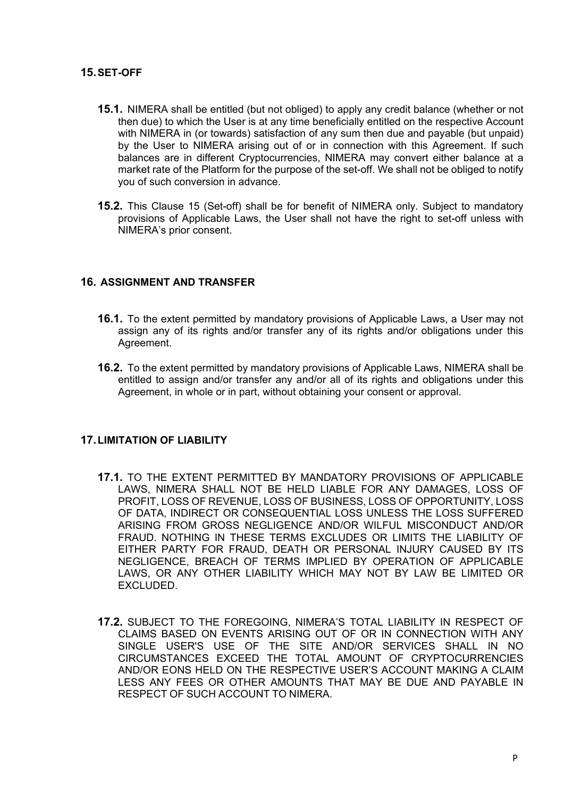### **15.SET-OFF**

- **15.1.** NIMERA shall be entitled (but not obliged) to apply any credit balance (whether or not then due) to which the User is at any time beneficially entitled on the respective Account with NIMERA in (or towards) satisfaction of any sum then due and payable (but unpaid) by the User to NIMERA arising out of or in connection with this Agreement. If such balances are in different Cryptocurrencies, NIMERA may convert either balance at a market rate of the Platform for the purpose of the set-off. We shall not be obliged to notify you of such conversion in advance.
- **15.2.** This Clause 15 (Set-off) shall be for benefit of NIMERA only. Subject to mandatory provisions of Applicable Laws, the User shall not have the right to set-off unless with NIMERA's prior consent.

### **16. ASSIGNMENT AND TRANSFER**

- **16.1.** To the extent permitted by mandatory provisions of Applicable Laws, a User may not assign any of its rights and/or transfer any of its rights and/or obligations under this Agreement.
- **16.2.** To the extent permitted by mandatory provisions of Applicable Laws, NIMERA shall be entitled to assign and/or transfer any and/or all of its rights and obligations under this Agreement, in whole or in part, without obtaining your consent or approval.

#### **17.LIMITATION OF LIABILITY**

- **17.1.** TO THE EXTENT PERMITTED BY MANDATORY PROVISIONS OF APPLICABLE LAWS, NIMERA SHALL NOT BE HELD LIABLE FOR ANY DAMAGES, LOSS OF PROFIT, LOSS OF REVENUE, LOSS OF BUSINESS, LOSS OF OPPORTUNITY, LOSS OF DATA, INDIRECT OR CONSEQUENTIAL LOSS UNLESS THE LOSS SUFFERED ARISING FROM GROSS NEGLIGENCE AND/OR WILFUL MISCONDUCT AND/OR FRAUD. NOTHING IN THESE TERMS EXCLUDES OR LIMITS THE LIABILITY OF EITHER PARTY FOR FRAUD, DEATH OR PERSONAL INJURY CAUSED BY ITS NEGLIGENCE, BREACH OF TERMS IMPLIED BY OPERATION OF APPLICABLE LAWS, OR ANY OTHER LIABILITY WHICH MAY NOT BY LAW BE LIMITED OR EXCLUDED.
- **17.2.** SUBJECT TO THE FOREGOING, NIMERA'S TOTAL LIABILITY IN RESPECT OF CLAIMS BASED ON EVENTS ARISING OUT OF OR IN CONNECTION WITH ANY SINGLE USER'S USE OF THE SITE AND/OR SERVICES SHALL IN NO CIRCUMSTANCES EXCEED THE TOTAL AMOUNT OF CRYPTOCURRENCIES AND/OR EONS HELD ON THE RESPECTIVE USER'S ACCOUNT MAKING A CLAIM LESS ANY FEES OR OTHER AMOUNTS THAT MAY BE DUE AND PAYABLE IN RESPECT OF SUCH ACCOUNT TO NIMERA.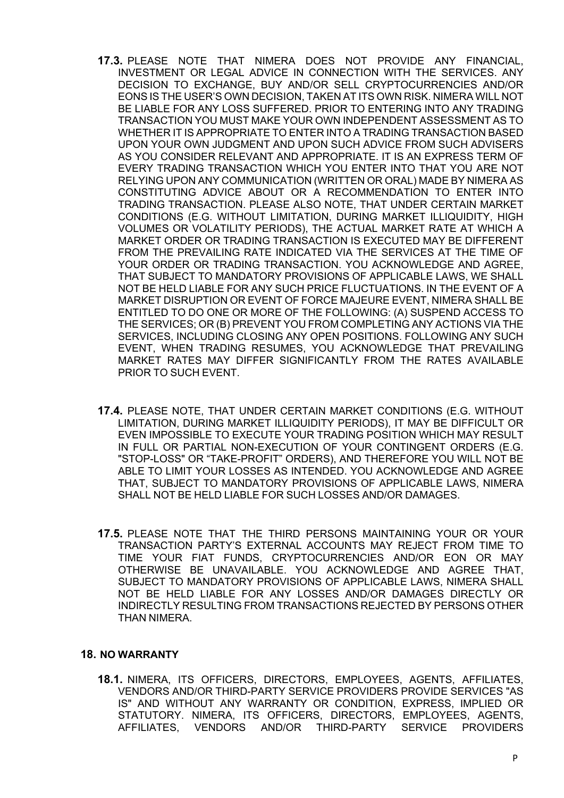- **17.3.** PLEASE NOTE THAT NIMERA DOES NOT PROVIDE ANY FINANCIAL, INVESTMENT OR LEGAL ADVICE IN CONNECTION WITH THE SERVICES. ANY DECISION TO EXCHANGE, BUY AND/OR SELL CRYPTOCURRENCIES AND/OR EONS IS THE USER'S OWN DECISION, TAKEN AT ITS OWN RISK. NIMERA WILL NOT BE LIABLE FOR ANY LOSS SUFFERED. PRIOR TO ENTERING INTO ANY TRADING TRANSACTION YOU MUST MAKE YOUR OWN INDEPENDENT ASSESSMENT AS TO WHETHER IT IS APPROPRIATE TO ENTER INTO A TRADING TRANSACTION BASED UPON YOUR OWN JUDGMENT AND UPON SUCH ADVICE FROM SUCH ADVISERS AS YOU CONSIDER RELEVANT AND APPROPRIATE. IT IS AN EXPRESS TERM OF EVERY TRADING TRANSACTION WHICH YOU ENTER INTO THAT YOU ARE NOT RELYING UPON ANY COMMUNICATION (WRITTEN OR ORAL) MADE BY NIMERA AS CONSTITUTING ADVICE ABOUT OR A RECOMMENDATION TO ENTER INTO TRADING TRANSACTION. PLEASE ALSO NOTE, THAT UNDER CERTAIN MARKET CONDITIONS (E.G. WITHOUT LIMITATION, DURING MARKET ILLIQUIDITY, HIGH VOLUMES OR VOLATILITY PERIODS), THE ACTUAL MARKET RATE AT WHICH A MARKET ORDER OR TRADING TRANSACTION IS EXECUTED MAY BE DIFFERENT FROM THE PREVAILING RATE INDICATED VIA THE SERVICES AT THE TIME OF YOUR ORDER OR TRADING TRANSACTION. YOU ACKNOWLEDGE AND AGREE, THAT SUBJECT TO MANDATORY PROVISIONS OF APPLICABLE LAWS, WE SHALL NOT BE HELD LIABLE FOR ANY SUCH PRICE FLUCTUATIONS. IN THE EVENT OF A MARKET DISRUPTION OR EVENT OF FORCE MAJEURE EVENT, NIMERA SHALL BE ENTITLED TO DO ONE OR MORE OF THE FOLLOWING: (A) SUSPEND ACCESS TO THE SERVICES; OR (B) PREVENT YOU FROM COMPLETING ANY ACTIONS VIA THE SERVICES, INCLUDING CLOSING ANY OPEN POSITIONS. FOLLOWING ANY SUCH EVENT, WHEN TRADING RESUMES, YOU ACKNOWLEDGE THAT PREVAILING MARKET RATES MAY DIFFER SIGNIFICANTLY FROM THE RATES AVAILABLE PRIOR TO SUCH EVENT.
- **17.4.** PLEASE NOTE, THAT UNDER CERTAIN MARKET CONDITIONS (E.G. WITHOUT LIMITATION, DURING MARKET ILLIQUIDITY PERIODS), IT MAY BE DIFFICULT OR EVEN IMPOSSIBLE TO EXECUTE YOUR TRADING POSITION WHICH MAY RESULT IN FULL OR PARTIAL NON-EXECUTION OF YOUR CONTINGENT ORDERS (E.G. "STOP-LOSS" OR "TAKE-PROFIT" ORDERS), AND THEREFORE YOU WILL NOT BE ABLE TO LIMIT YOUR LOSSES AS INTENDED. YOU ACKNOWLEDGE AND AGREE THAT, SUBJECT TO MANDATORY PROVISIONS OF APPLICABLE LAWS, NIMERA SHALL NOT BE HELD LIABLE FOR SUCH LOSSES AND/OR DAMAGES.
- **17.5.** PLEASE NOTE THAT THE THIRD PERSONS MAINTAINING YOUR OR YOUR TRANSACTION PARTY'S EXTERNAL ACCOUNTS MAY REJECT FROM TIME TO TIME YOUR FIAT FUNDS, CRYPTOCURRENCIES AND/OR EON OR MAY OTHERWISE BE UNAVAILABLE. YOU ACKNOWLEDGE AND AGREE THAT, SUBJECT TO MANDATORY PROVISIONS OF APPLICABLE LAWS, NIMERA SHALL NOT BE HELD LIABLE FOR ANY LOSSES AND/OR DAMAGES DIRECTLY OR INDIRECTLY RESULTING FROM TRANSACTIONS REJECTED BY PERSONS OTHER THAN NIMERA.

#### **18. NO WARRANTY**

**18.1.** NIMERA, ITS OFFICERS, DIRECTORS, EMPLOYEES, AGENTS, AFFILIATES, VENDORS AND/OR THIRD-PARTY SERVICE PROVIDERS PROVIDE SERVICES "AS IS" AND WITHOUT ANY WARRANTY OR CONDITION, EXPRESS, IMPLIED OR STATUTORY. NIMERA, ITS OFFICERS, DIRECTORS, EMPLOYEES, AGENTS, AFFILIATES, VENDORS AND/OR THIRD-PARTY SERVICE PROVIDERS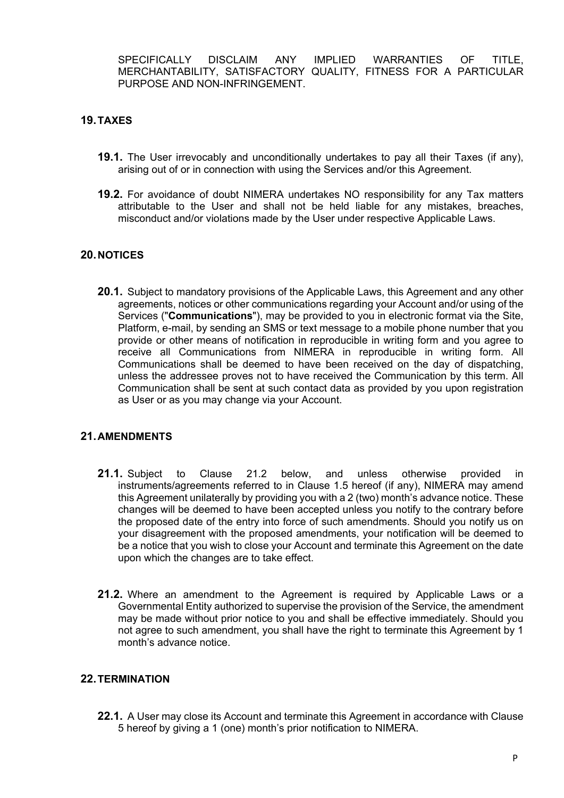SPECIFICALLY DISCLAIM ANY IMPLIED WARRANTIES OF TITLE MERCHANTABILITY, SATISFACTORY QUALITY, FITNESS FOR A PARTICULAR PURPOSE AND NON-INFRINGEMENT.

# **19.TAXES**

- **19.1.** The User irrevocably and unconditionally undertakes to pay all their Taxes (if any), arising out of or in connection with using the Services and/or this Agreement.
- **19.2.** For avoidance of doubt NIMERA undertakes NO responsibility for any Tax matters attributable to the User and shall not be held liable for any mistakes, breaches, misconduct and/or violations made by the User under respective Applicable Laws.

### **20.NOTICES**

**20.1.** Subject to mandatory provisions of the Applicable Laws, this Agreement and any other agreements, notices or other communications regarding your Account and/or using of the Services ("**Communications**"), may be provided to you in electronic format via the Site, Platform, e-mail, by sending an SMS or text message to a mobile phone number that you provide or other means of notification in reproducible in writing form and you agree to receive all Communications from NIMERA in reproducible in writing form. All Communications shall be deemed to have been received on the day of dispatching, unless the addressee proves not to have received the Communication by this term. All Communication shall be sent at such contact data as provided by you upon registration as User or as you may change via your Account.

## **21.AMENDMENTS**

- **21.1.** Subject to Clause 21.2 below, and unless otherwise provided in instruments/agreements referred to in Clause 1.5 hereof (if any), NIMERA may amend this Agreement unilaterally by providing you with a 2 (two) month's advance notice. These changes will be deemed to have been accepted unless you notify to the contrary before the proposed date of the entry into force of such amendments. Should you notify us on your disagreement with the proposed amendments, your notification will be deemed to be a notice that you wish to close your Account and terminate this Agreement on the date upon which the changes are to take effect.
- **21.2.** Where an amendment to the Agreement is required by Applicable Laws or a Governmental Entity authorized to supervise the provision of the Service, the amendment may be made without prior notice to you and shall be effective immediately. Should you not agree to such amendment, you shall have the right to terminate this Agreement by 1 month's advance notice.

### **22.TERMINATION**

**22.1.** A User may close its Account and terminate this Agreement in accordance with Clause 5 hereof by giving a 1 (one) month's prior notification to NIMERA.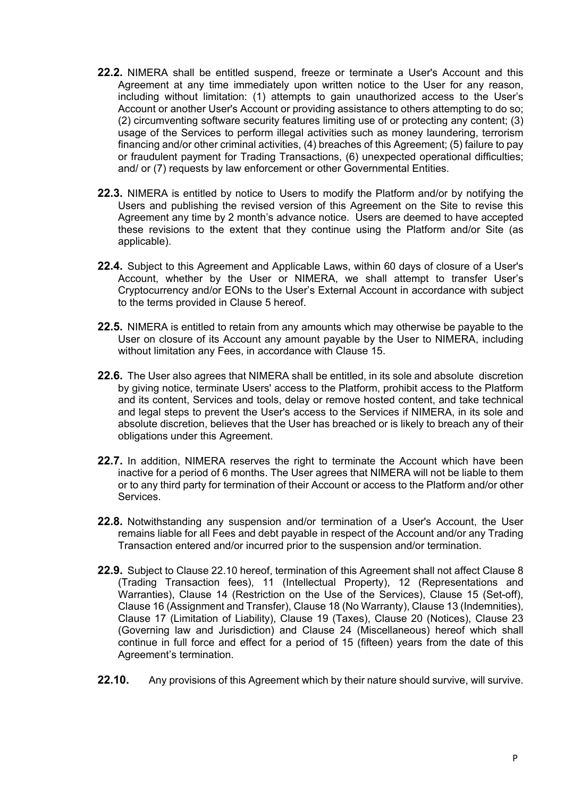- **22.2.** NIMERA shall be entitled suspend, freeze or terminate a User's Account and this Agreement at any time immediately upon written notice to the User for any reason, including without limitation: (1) attempts to gain unauthorized access to the User's Account or another User's Account or providing assistance to others attempting to do so; (2) circumventing software security features limiting use of or protecting any content; (3) usage of the Services to perform illegal activities such as money laundering, terrorism financing and/or other criminal activities, (4) breaches of this Agreement; (5) failure to pay or fraudulent payment for Trading Transactions, (6) unexpected operational difficulties; and/ or (7) requests by law enforcement or other Governmental Entities.
- **22.3.** NIMERA is entitled by notice to Users to modify the Platform and/or by notifying the Users and publishing the revised version of this Agreement on the Site to revise this Agreement any time by 2 month's advance notice. Users are deemed to have accepted these revisions to the extent that they continue using the Platform and/or Site (as applicable).
- **22.4.** Subject to this Agreement and Applicable Laws, within 60 days of closure of a User's Account, whether by the User or NIMERA, we shall attempt to transfer User's Cryptocurrency and/or EONs to the User's External Account in accordance with subject to the terms provided in Clause 5 hereof.
- **22.5.** NIMERA is entitled to retain from any amounts which may otherwise be payable to the User on closure of its Account any amount payable by the User to NIMERA, including without limitation any Fees, in accordance with Clause 15.
- **22.6.** The User also agrees that NIMERA shall be entitled, in its sole and absolute discretion by giving notice, terminate Users' access to the Platform, prohibit access to the Platform and its content, Services and tools, delay or remove hosted content, and take technical and legal steps to prevent the User's access to the Services if NIMERA, in its sole and absolute discretion, believes that the User has breached or is likely to breach any of their obligations under this Agreement.
- **22.7.** In addition, NIMERA reserves the right to terminate the Account which have been inactive for a period of 6 months. The User agrees that NIMERA will not be liable to them or to any third party for termination of their Account or access to the Platform and/or other Services.
- **22.8.** Notwithstanding any suspension and/or termination of a User's Account, the User remains liable for all Fees and debt payable in respect of the Account and/or any Trading Transaction entered and/or incurred prior to the suspension and/or termination.
- **22.9.** Subject to Clause 22.10 hereof, termination of this Agreement shall not affect Clause 8 (Trading Transaction fees), 11 (Intellectual Property), 12 (Representations and Warranties), Clause 14 (Restriction on the Use of the Services), Clause 15 (Set-off), Clause 16 (Assignment and Transfer), Clause 18 (No Warranty), Clause 13 (Indemnities), Clause 17 (Limitation of Liability), Clause 19 (Taxes), Clause 20 (Notices), Clause 23 (Governing law and Jurisdiction) and Clause 24 (Miscellaneous) hereof which shall continue in full force and effect for a period of 15 (fifteen) years from the date of this Agreement's termination.
- **22.10.** Any provisions of this Agreement which by their nature should survive, will survive.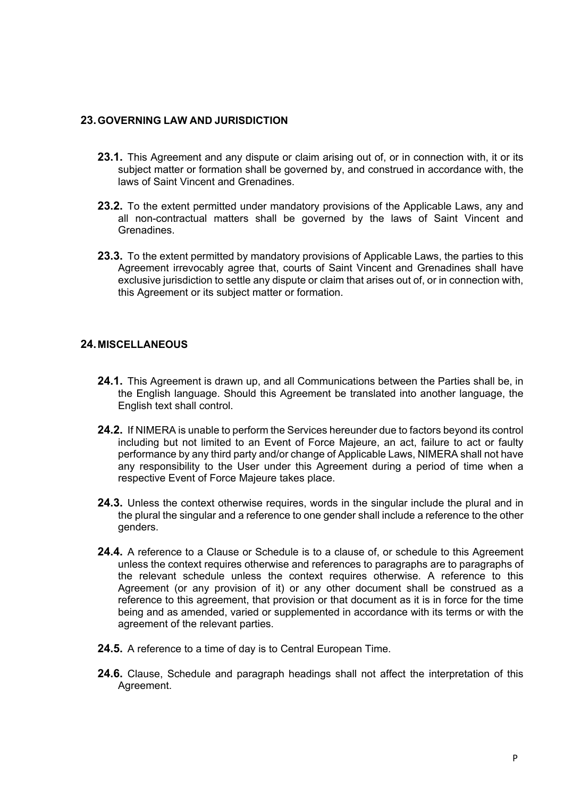#### **23.GOVERNING LAW AND JURISDICTION**

- **23.1.** This Agreement and any dispute or claim arising out of, or in connection with, it or its subject matter or formation shall be governed by, and construed in accordance with, the laws of Saint Vincent and Grenadines.
- **23.2.** To the extent permitted under mandatory provisions of the Applicable Laws, any and all non-contractual matters shall be governed by the laws of Saint Vincent and Grenadines.
- **23.3.** To the extent permitted by mandatory provisions of Applicable Laws, the parties to this Agreement irrevocably agree that, courts of Saint Vincent and Grenadines shall have exclusive jurisdiction to settle any dispute or claim that arises out of, or in connection with, this Agreement or its subject matter or formation.

#### **24.MISCELLANEOUS**

- **24.1.** This Agreement is drawn up, and all Communications between the Parties shall be, in the English language. Should this Agreement be translated into another language, the English text shall control.
- **24.2.** If NIMERA is unable to perform the Services hereunder due to factors beyond its control including but not limited to an Event of Force Majeure, an act, failure to act or faulty performance by any third party and/or change of Applicable Laws, NIMERA shall not have any responsibility to the User under this Agreement during a period of time when a respective Event of Force Majeure takes place.
- **24.3.** Unless the context otherwise requires, words in the singular include the plural and in the plural the singular and a reference to one gender shall include a reference to the other genders.
- **24.4.** A reference to a Clause or Schedule is to a clause of, or schedule to this Agreement unless the context requires otherwise and references to paragraphs are to paragraphs of the relevant schedule unless the context requires otherwise. A reference to this Agreement (or any provision of it) or any other document shall be construed as a reference to this agreement, that provision or that document as it is in force for the time being and as amended, varied or supplemented in accordance with its terms or with the agreement of the relevant parties.
- **24.5.** A reference to a time of day is to Central European Time.
- **24.6.** Clause, Schedule and paragraph headings shall not affect the interpretation of this Agreement.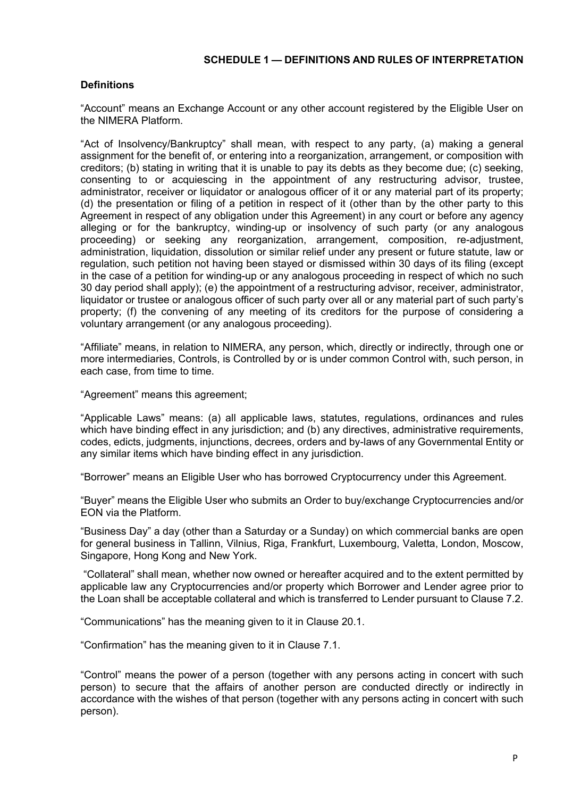### **SCHEDULE 1 — DEFINITIONS AND RULES OF INTERPRETATION**

### **Definitions**

"Account" means an Exchange Account or any other account registered by the Eligible User on the NIMERA Platform.

"Act of Insolvency/Bankruptcy" shall mean, with respect to any party, (a) making a general assignment for the benefit of, or entering into a reorganization, arrangement, or composition with creditors; (b) stating in writing that it is unable to pay its debts as they become due; (c) seeking, consenting to or acquiescing in the appointment of any restructuring advisor, trustee, administrator, receiver or liquidator or analogous officer of it or any material part of its property; (d) the presentation or filing of a petition in respect of it (other than by the other party to this Agreement in respect of any obligation under this Agreement) in any court or before any agency alleging or for the bankruptcy, winding-up or insolvency of such party (or any analogous proceeding) or seeking any reorganization, arrangement, composition, re-adjustment, administration, liquidation, dissolution or similar relief under any present or future statute, law or regulation, such petition not having been stayed or dismissed within 30 days of its filing (except in the case of a petition for winding-up or any analogous proceeding in respect of which no such 30 day period shall apply); (e) the appointment of a restructuring advisor, receiver, administrator, liquidator or trustee or analogous officer of such party over all or any material part of such party's property; (f) the convening of any meeting of its creditors for the purpose of considering a voluntary arrangement (or any analogous proceeding).

"Affiliate" means, in relation to NIMERA, any person, which, directly or indirectly, through one or more intermediaries, Controls, is Controlled by or is under common Control with, such person, in each case, from time to time.

"Agreement" means this agreement;

"Applicable Laws" means: (a) all applicable laws, statutes, regulations, ordinances and rules which have binding effect in any jurisdiction; and (b) any directives, administrative requirements, codes, edicts, judgments, injunctions, decrees, orders and by-laws of any Governmental Entity or any similar items which have binding effect in any jurisdiction.

"Borrower" means an Eligible User who has borrowed Cryptocurrency under this Agreement.

"Buyer" means the Eligible User who submits an Order to buy/exchange Cryptocurrencies and/or EON via the Platform.

"Business Day" a day (other than a Saturday or a Sunday) on which commercial banks are open for general business in Tallinn, Vilnius, Riga, Frankfurt, Luxembourg, Valetta, London, Moscow, Singapore, Hong Kong and New York.

"Collateral" shall mean, whether now owned or hereafter acquired and to the extent permitted by applicable law any Cryptocurrencies and/or property which Borrower and Lender agree prior to the Loan shall be acceptable collateral and which is transferred to Lender pursuant to Clause 7.2.

"Communications" has the meaning given to it in Clause 20.1.

"Confirmation" has the meaning given to it in Clause 7.1.

"Control" means the power of a person (together with any persons acting in concert with such person) to secure that the affairs of another person are conducted directly or indirectly in accordance with the wishes of that person (together with any persons acting in concert with such person).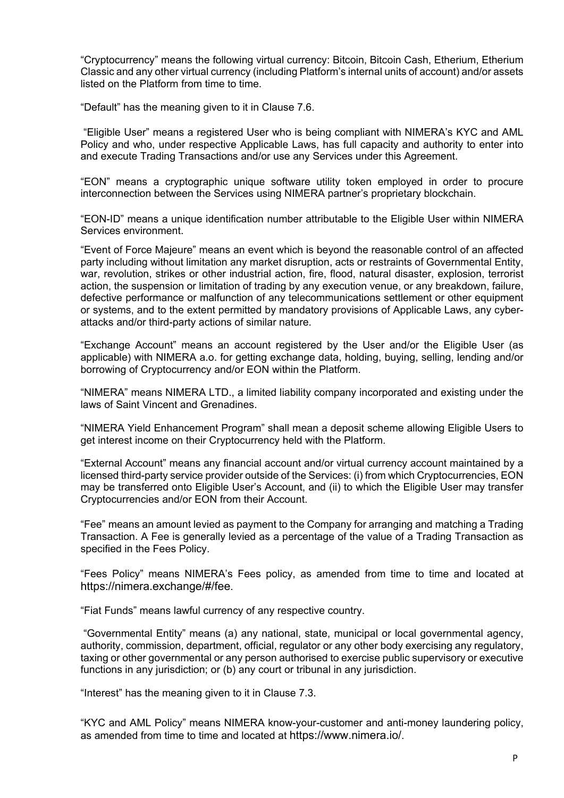"Cryptocurrency" means the following virtual currency: Bitcoin, Bitcoin Cash, Etherium, Etherium Classic and any other virtual currency (including Platform's internal units of account) and/or assets listed on the Platform from time to time.

"Default" has the meaning given to it in Clause 7.6.

"Eligible User" means a registered User who is being compliant with NIMERA's KYC and AML Policy and who, under respective Applicable Laws, has full capacity and authority to enter into and execute Trading Transactions and/or use any Services under this Agreement.

"EON" means a cryptographic unique software utility token employed in order to procure interconnection between the Services using NIMERA partner's proprietary blockchain.

"EON-ID" means a unique identification number attributable to the Eligible User within NIMERA Services environment.

"Event of Force Majeure" means an event which is beyond the reasonable control of an affected party including without limitation any market disruption, acts or restraints of Governmental Entity, war, revolution, strikes or other industrial action, fire, flood, natural disaster, explosion, terrorist action, the suspension or limitation of trading by any execution venue, or any breakdown, failure, defective performance or malfunction of any telecommunications settlement or other equipment or systems, and to the extent permitted by mandatory provisions of Applicable Laws, any cyberattacks and/or third-party actions of similar nature.

"Exchange Account" means an account registered by the User and/or the Eligible User (as applicable) with NIMERA a.o. for getting exchange data, holding, buying, selling, lending and/or borrowing of Cryptocurrency and/or EON within the Platform.

"NIMERA" means NIMERA LTD., a limited liability company incorporated and existing under the laws of Saint Vincent and Grenadines.

"NIMERA Yield Enhancement Program" shall mean a deposit scheme allowing Eligible Users to get interest income on their Cryptocurrency held with the Platform.

"External Account" means any financial account and/or virtual currency account maintained by a licensed third-party service provider outside of the Services: (i) from which Cryptocurrencies, EON may be transferred onto Eligible User's Account, and (ii) to which the Eligible User may transfer Cryptocurrencies and/or EON from their Account.

"Fee" means an amount levied as payment to the Company for arranging and matching a Trading Transaction. A Fee is generally levied as a percentage of the value of a Trading Transaction as specified in the Fees Policy.

"Fees Policy" means NIMERA's Fees policy, as amended from time to time and located at https://nimera.exchange/#/fee.

"Fiat Funds" means lawful currency of any respective country.

"Governmental Entity" means (a) any national, state, municipal or local governmental agency, authority, commission, department, official, regulator or any other body exercising any regulatory, taxing or other governmental or any person authorised to exercise public supervisory or executive functions in any jurisdiction; or (b) any court or tribunal in any jurisdiction.

"Interest" has the meaning given to it in Clause 7.3.

"KYC and AML Policy" means NIMERA know-your-customer and anti-money laundering policy, as amended from time to time and located at https://www.nimera.io/.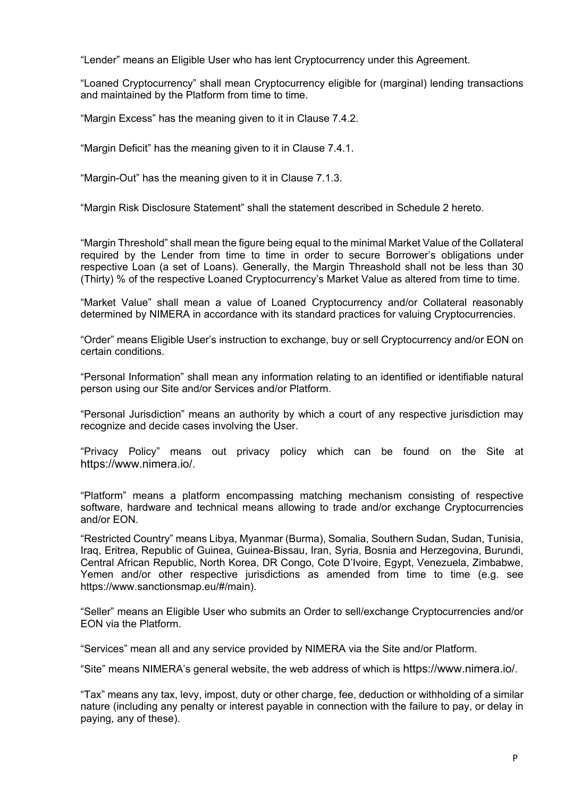"Lender" means an Eligible User who has lent Cryptocurrency under this Agreement.

"Loaned Cryptocurrency" shall mean Cryptocurrency eligible for (marginal) lending transactions and maintained by the Platform from time to time.

"Margin Excess" has the meaning given to it in Clause 7.4.2.

"Margin Deficit" has the meaning given to it in Clause 7.4.1.

"Margin-Out" has the meaning given to it in Clause 7.1.3.

"Margin Risk Disclosure Statement" shall the statement described in Schedule 2 hereto.

"Margin Threshold" shall mean the figure being equal to the minimal Market Value of the Collateral required by the Lender from time to time in order to secure Borrower's obligations under respective Loan (a set of Loans). Generally, the Margin Threashold shall not be less than 30 (Thirty) % of the respective Loaned Cryptocurrency's Market Value as altered from time to time.

"Market Value" shall mean a value of Loaned Cryptocurrency and/or Collateral reasonably determined by NIMERA in accordance with its standard practices for valuing Cryptocurrencies.

"Order" means Eligible User's instruction to exchange, buy or sell Cryptocurrency and/or EON on certain conditions.

"Personal Information" shall mean any information relating to an identified or identifiable natural person using our Site and/or Services and/or Platform.

"Personal Jurisdiction" means an authority by which a court of any respective jurisdiction may recognize and decide cases involving the User.

"Privacy Policy" means out privacy policy which can be found on the Site at https://www.nimera.io/.

"Platform" means a platform encompassing matching mechanism consisting of respective software, hardware and technical means allowing to trade and/or exchange Cryptocurrencies and/or EON.

"Restricted Country" means Libya, Myanmar (Burma), Somalia, Southern Sudan, Sudan, Tunisia, Iraq, Eritrea, Republic of Guinea, Guinea-Bissau, Iran, Syria, Bosnia and Herzegovina, Burundi, Central African Republic, North Korea, DR Congo, Cote D'Ivoire, Egypt, Venezuela, Zimbabwe, Yemen and/or other respective jurisdictions as amended from time to time (e.g. see [https://www.sanctionsmap.eu/#/main\)](https://www.sanctionsmap.eu/#/main).

"Seller" means an Eligible User who submits an Order to sell/exchange Cryptocurrencies and/or EON via the Platform.

"Services" mean all and any service provided by NIMERA via the Site and/or Platform.

"Site" means NIMERA's general website, the web address of which is https://www.nimera.io/.

"Tax" means any tax, levy, impost, duty or other charge, fee, deduction or withholding of a similar nature (including any penalty or interest payable in connection with the failure to pay, or delay in paying, any of these).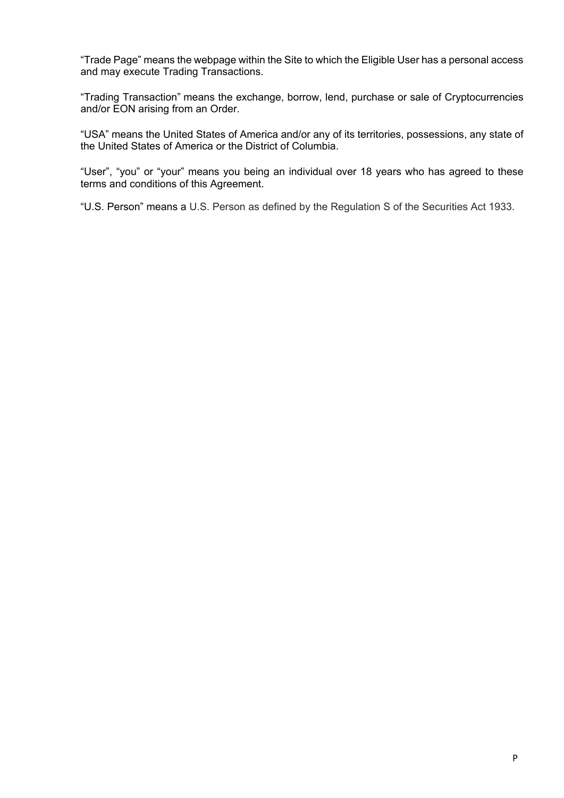"Trade Page" means the webpage within the Site to which the Eligible User has a personal access and may execute Trading Transactions.

"Trading Transaction" means the exchange, borrow, lend, purchase or sale of Cryptocurrencies and/or EON arising from an Order.

"USA" means the United States of America and/or any of its territories, possessions, any state of the United States of America or the District of Columbia.

"User", "you" or "your" means you being an individual over 18 years who has agreed to these terms and conditions of this Agreement.

"U.S. Person" means a U.S. Person as defined by the Regulation S of the Securities Act 1933.